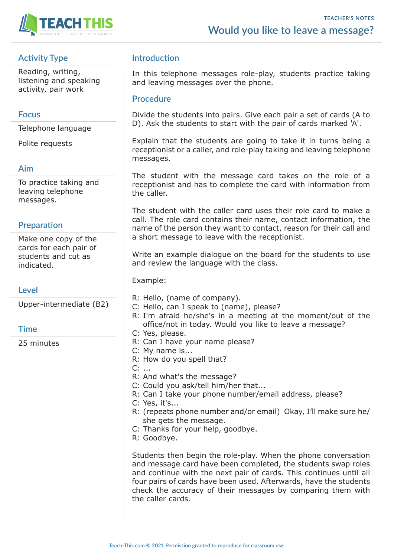

# **Activity Type**

Reading, writing, listening and speaking activity, pair work

#### **Focus**

Telephone language

Polite requests

## **Aim**

To practice taking and leaving telephone messages.

## **Preparation**

Make one copy of the cards for each pair of students and cut as indicated.

**Level**

Upper-intermediate (B2)

#### **Time**

25 minutes

# **Introduction**

In this telephone messages role-play, students practice taking and leaving messages over the phone.

#### **Procedure**

Divide the students into pairs. Give each pair a set of cards (A to D). Ask the students to start with the pair of cards marked 'A'.

Explain that the students are going to take it in turns being a receptionist or a caller, and role-play taking and leaving telephone messages.

The student with the message card takes on the role of a receptionist and has to complete the card with information from the caller.

The student with the caller card uses their role card to make a call. The role card contains their name, contact information, the name of the person they want to contact, reason for their call and a short message to leave with the receptionist.

Write an example dialogue on the board for the students to use and review the language with the class.

Example:

- R: Hello, (name of company).
- C: Hello, can I speak to (name), please?
- R: I'm afraid he/she's in a meeting at the moment/out of the office/not in today. Would you like to leave a message?
- C: Yes, please.
- R: Can I have your name please?
- C: My name is...
- R: How do you spell that?
- C: ...
- R: And what's the message?
- C: Could you ask/tell him/her that...
- R: Can I take your phone number/email address, please?
- C: Yes, it's...
- R: (repeats phone number and/or email) Okay, I'll make sure he/ she gets the message.
- C: Thanks for your help, goodbye.
- R: Goodbye.

Students then begin the role-play. When the phone conversation and message card have been completed, the students swap roles and continue with the next pair of cards. This continues until all four pairs of cards have been used. Afterwards, have the students check the accuracy of their messages by comparing them with the caller cards.